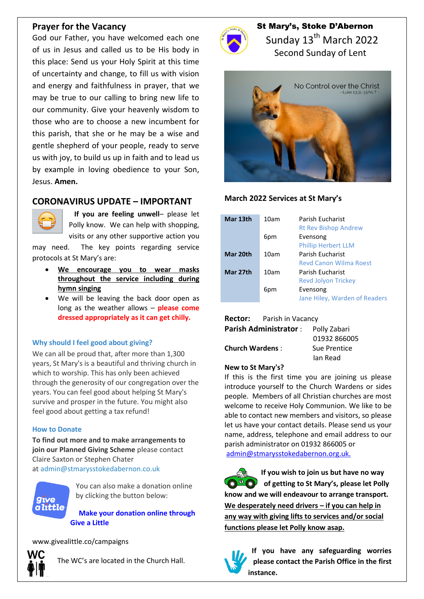## **Prayer for the Vacancy**

God our Father, you have welcomed each one of us in Jesus and called us to be His body in this place: Send us your Holy Spirit at this time of uncertainty and change, to fill us with vision and energy and faithfulness in prayer, that we may be true to our calling to bring new life to our community. Give your heavenly wisdom to those who are to choose a new incumbent for this parish, that she or he may be a wise and gentle shepherd of your people, ready to serve us with joy, to build us up in faith and to lead us by example in loving obedience to your Son, Jesus. **Amen.**

## **CORONAVIRUS UPDATE – IMPORTANT**



 **If you are feeling unwell**– please let Polly know. We can help with shopping, visits or any other supportive action you

may need. The key points regarding service protocols at St Mary's are:

- **We encourage you to wear masks throughout the service including during hymn singing**
- We will be leaving the back door open as long as the weather allows – **please come dressed appropriately as it can get chilly.**

### **Why should I feel good about giving?**

We can all be proud that, after more than 1,300 years, St Mary's is a beautiful and thriving church in which to worship. This has only been achieved through the generosity of our congregation over the years. You can feel good about helping St Mary's survive and prosper in the future. You might also feel good about getting a tax refund!

### **How to Donate**

**To find out more and to make arrangements to join our Planned Giving Scheme** please contact Claire Saxton or Stephen Chater at [admin@stmarysstokedabernon.co.uk](mailto:info@stmarysstokedabernon.co.uk)



You can also make a donation online by clicking the button below:

**Make your [donation](https://givealittle.co/campaigns/7d65d2c5-4189-45f4-9027-11ecb5814414) online through Give a [Little](https://givealittle.co/campaigns/7d65d2c5-4189-45f4-9027-11ecb5814414)**

www.givealittle.co/campaigns



The WC's are located in the Church Hall.



St Mary's, Stoke D'Abernon Sunday 13<sup>th</sup> March 2022 Second Sunday of Lent



### **March 2022 Services at St Mary's**

| Mar 13th | 10am | Parish Eucharist<br><b>Rt Rev Bishop Andrew</b> |
|----------|------|-------------------------------------------------|
|          | 6pm  | Evensong                                        |
|          |      | <b>Phillip Herbert LLM</b>                      |
| Mar 20th | 10am | Parish Eucharist                                |
|          |      | <b>Revd Canon Wilma Roest</b>                   |
| Mar 27th | 10am | Parish Eucharist                                |
|          |      | <b>Revd Jolyon Trickey</b>                      |
|          | 6pm  | Evensong                                        |
|          |      | Jane Hiley, Warden of Readers                   |

|                              | <b>Rector:</b> Parish in Vacancy |              |  |
|------------------------------|----------------------------------|--------------|--|
| <b>Parish Administrator:</b> |                                  | Polly Zabari |  |
|                              |                                  | 01932 866005 |  |
| <b>Church Wardens:</b>       |                                  | Sue Prentice |  |
|                              |                                  | lan Read     |  |
|                              |                                  |              |  |

### **New to St Mary's?**

If this is the first time you are joining us please introduce yourself to the Church Wardens or sides people. Members of all Christian churches are most welcome to receive Holy Communion. We like to be able to contact new members and visitors, so please let us have your contact details. Please send us your name, address, telephone and email address to our parish administrator on 01932 866005 or [admin@stmarysstokedabernon.org.uk.](mailto:admin@stmarysstokedabernon.org.uk)

**If you wish to join us but have no way of getting to St Mary's, please let Polly**   $\odot$ <sup>0</sup> $\odot$ <sup>0</sup> **know and we will endeavour to arrange transport. We desperately need drivers – if you can help in any way with giving lifts to services and/or social functions please let Polly know asap.**



**If you have any safeguarding worries please contact the Parish Office in the first instance.**